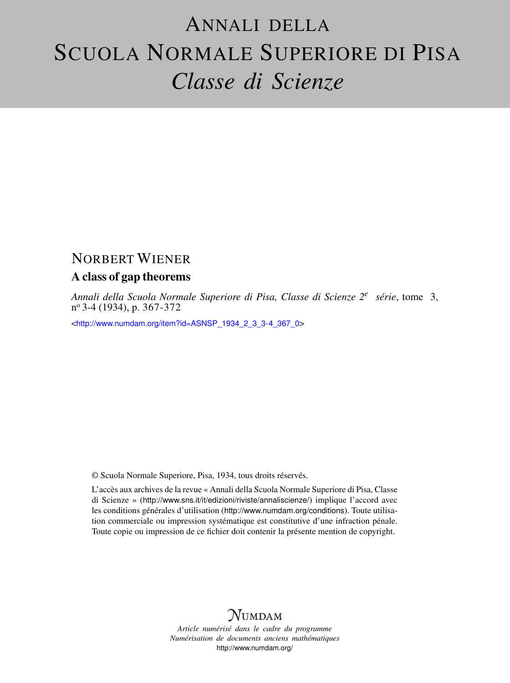# ANNALI DELLA SCUOLA NORMALE SUPERIORE DI PISA *Classe di Scienze*

## NORBERT WIENER

### A class of gap theorems

*Annali della Scuola Normale Superiore di Pisa, Classe di Scienze 2<sup>e</sup> série*, tome 3, n <sup>o</sup> 3-4 (1934), p. 367-372

<[http://www.numdam.org/item?id=ASNSP\\_1934\\_2\\_3\\_3-4\\_367\\_0](http://www.numdam.org/item?id=ASNSP_1934_2_3_3-4_367_0)>

© Scuola Normale Superiore, Pisa, 1934, tous droits réservés.

L'accès aux archives de la revue « Annali della Scuola Normale Superiore di Pisa, Classe di Scienze » (<http://www.sns.it/it/edizioni/riviste/annaliscienze/>) implique l'accord avec les conditions générales d'utilisation (<http://www.numdam.org/conditions>). Toute utilisation commerciale ou impression systématique est constitutive d'une infraction pénale. Toute copie ou impression de ce fichier doit contenir la présente mention de copyright.

# $N$ UMDAM

*Article numérisé dans le cadre du programme Numérisation de documents anciens mathématiques* <http://www.numdam.org/>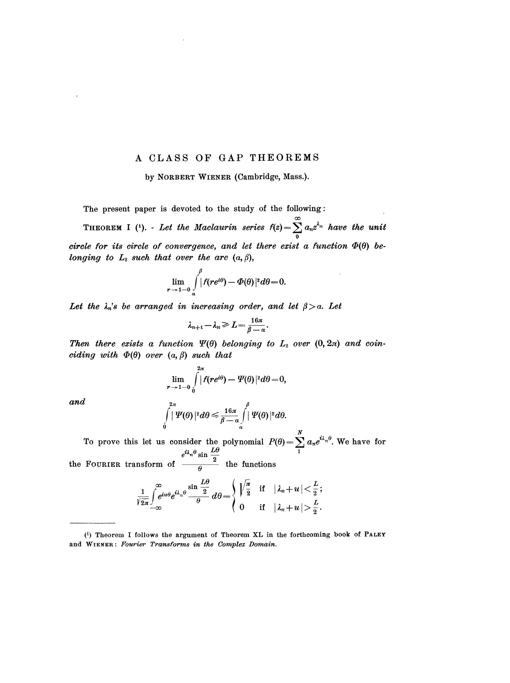### A CLASS OF GAP THEOREMS

#### by NORBERT WIENER (Cambridge, Mass.).

The present paper is devoted to the study of the following:

THEOREM I (4). - Let the Maclaurin series  $f(z) = \sum_{n=0}^{\infty} a_n z^{\lambda_n}$  have the unit circle for its circle of convergence, and let there exist a function  $\Phi(\theta)$  belonging to  $L_2$  such that over the arc  $(a, \beta)$ ,

$$
\lim_{r\to 1-0}\int\limits_{\alpha}^{\rho}|f(re^{i\theta})-\Phi(\theta)|^2d\theta=0.
$$

Let the  $\lambda_n$ 's be arranged in increasing order, and let  $\beta > a$ . Let

$$
\lambda_{n+1}-\lambda_n\geqslant L\!=\!\tfrac{16\pi}{\beta-\alpha}.
$$

Then there exists a function  $\Psi(\theta)$  belonging to  $L_2$  over  $(0, 2\pi)$  and coinciding with  $\Phi(\theta)$  over  $(a, \beta)$  such that

$$
\lim_{t\to 1-0}\int\limits_{0}^{2\pi}|f(re^{i\theta})-\varPsi(\theta)|^2d\theta=0,
$$

and

$$
\int\limits_{0}^{2\pi}|\Psi(\theta)|^{2}d\theta \leqslant \frac{16\pi}{\beta-\alpha}\int\limits_{\alpha}^{\beta}|\Psi(\theta)|^{2}d\theta.
$$

To prove this let us consider the polynomial  $P(\theta) = \sum a_n e^{i\lambda_n \theta}$ . We have for

the FOURIER transform of  $\frac{1}{\sqrt{a}}$  the functions

 $\pmb{r}$ 

$$
\frac{1}{\sqrt{2\pi}}\int\limits_{-\infty}^{\infty}e^{iu\theta}e^{i\lambda_n\theta}\frac{\sin\frac{L\theta}{2}}{\theta}\,d\theta\!=\!\left\{\begin{array}{l}\!\!\sqrt{\frac{\pi}{2}}\quad\text{if}\quad|\lambda_n\!+\!u|\!<\!\frac{L}{2};\\ \!\!\!\!0\qquad\text{if}\quad|\lambda_n\!+\!u|\!>\!\frac{L}{2}.\end{array}\right.
$$

<sup>(1)</sup> Theorem I follows the argument of Theorem XL in the forthcoming book of PALEY and WIENER : Fourier Transforms in the Complex Domain.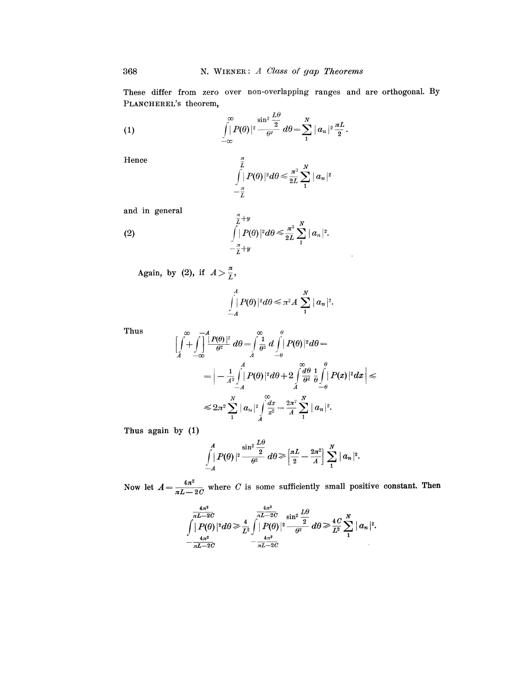These differ from zero over non-overlapping ranges and are orthogonal. By PLANCHEREL'S theorem,

(1) 
$$
\int_{-\infty}^{\infty} |P(\theta)|^2 \frac{\sin^2 \frac{L\theta}{2}}{\theta^2} d\theta = \sum_{1}^{N} |a_n|^2 \frac{\pi L}{2}.
$$

Hence

 $(2)$ 

$$
\int\limits_{-\frac{\pi}{L}}^{\frac{\pi}{L}}|P(\theta)|^2d\theta\leqslant \frac{\pi^3}{2L}\sum\limits_{1}^N\mid a_n\mid^2
$$

and in general

$$
\int\limits_{-\frac{\pi}{L}+y}^{\frac{\pi}{L}+y}|\rho(\theta)|^2d\theta\leqslant \frac{\pi^3}{2L}\sum\limits_{1}^N\|a_n\|^2.
$$

Again, by (2), if  $A > \frac{\pi}{L}$ ,

$$
\int_{-A}^A |P(\theta)|^2 d\theta \leq \pi^2 A \sum_{1}^N |a_n|^2.
$$

Thus

$$
\left[\int\limits_A^\infty+\int\limits_{-\infty}^{-A}\frac{\left|P(\theta)\right|^2}{\theta^2}\,d\theta-\int\limits_A^\infty\frac{1}{\theta^2}\,d\int\limits_{-\theta}^{\theta}|P(\theta)|^2d\theta-\right.\\ \left.=-\int\limits_A^A\int\limits_A^A|P(\theta)|^2d\theta+2\int\limits_A^\infty\frac{d\theta}{\theta^2}\,\frac{1}{\theta}\int\limits_{-\theta}^{\theta}|P(x)|^2dx\right|\leqslant\\ \leqslant 2\pi^2\sum\limits_1^N|a_n|^2\int\limits_A^{\infty}\frac{dx}{x^2}=\frac{2\pi^2}{A}\sum\limits_1^N|a_n|^2.
$$

Thus again by (1)

$$
\int\limits_{-A}^A \left|P(\theta)\right|^{\frac{1}{2}} \frac{\sin^2\frac{L\theta}{2}}{\theta^2} \,d\theta\geqslant \left[\frac{\pi L}{2}-\frac{2\pi^2}{A}\right]\sum\limits_{1}^N |a_n|^2.
$$

Now let  $A = \frac{4\pi^2}{\pi L - 2C}$  where C is some sufficiently small positive constant. Then

$$
\int \frac{4\pi^2}{\pi L - 2C} \int |P(\theta)|^2 d\theta \ge \frac{4}{L^2} \int \frac{4\pi^2}{\pi L - 2C} \sin^2 \frac{L\theta}{2} d\theta \ge \frac{4}{L^2} \sum_{1}^N |a_n|^2.
$$
  

$$
-\frac{4\pi^2}{\pi L - 2C} - \frac{4\pi^2}{\pi L - 2C}
$$

368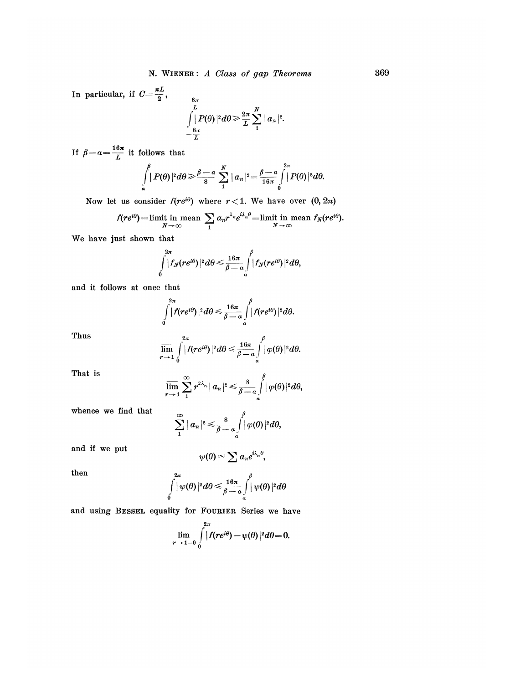In particular, if  $C = \frac{\pi L}{2}$ ,  $\int\limits_{-\frac{8\pi}{L}}^{\frac{8\pi}{L}} |P(\theta)|^2 d\theta \!\geqslant\! \frac{2\pi}{L}\sum\limits_{1}^{N}|a_n|^2.$ 

If  $\beta - a = \frac{16\pi}{L}$  it follows that

$$
\int\limits_{\alpha}^{\beta} |P(\theta)|^2 d\theta \geq \frac{\beta-\alpha}{8} \sum\limits_{1}^{N} |a_n|^2 = \frac{\beta-\alpha}{16\pi} \int\limits_{0}^{2\pi} |P(\theta)|^2 d\theta.
$$

Now let us consider  $f(re^{i\theta})$  where  $r < 1$ . We have over  $(0, 2\pi)$ 

$$
f(re^{i\theta}) = \lim_{N \to \infty} \lim_{n \to \infty} \sum_{1} a_n r^{\lambda_n} e^{i\lambda_n \theta} = \lim_{N \to \infty} \lim_{n \to \infty} f_N(re^{i\theta}).
$$

We have just shown that

$$
\int\limits_{0}^{2\pi}|f_{N}(re^{i\theta})|^{2}d\theta \leq \frac{16\pi}{\beta-a}\int\limits_{a}^{\beta}|f_{N}(re^{i\theta})|^{2}d\theta,
$$

and it follows at once that

$$
\int\limits_{0}^{2\pi}|f(re^{i\theta})|^2d\theta\leq \frac{16\pi}{\beta-a}\int\limits_{a}^{\beta}|f(re^{i\theta})|^2d\theta.
$$

Thus

$$
\overline{\lim}_{r\to 1}\int\limits_{0}^{2\pi}|f(re^{i\theta})|^2d\theta\leq \frac{16\pi}{\beta-a}\int\limits_{a}^{\beta}|\varphi(\theta)|^2d\theta.
$$

That is

$$
\overline{\lim}_{r\to 1}\sum_{1}^{\infty}r^{2\lambda_n}|a_n|^2\leq \frac{8}{\beta-a}\int\limits_{a}^{\beta}|\varphi(\theta)|^2d\theta,
$$

whence we find that

$$
\sum_{1}^{\infty} |a_n|^2 \leq \frac{8}{\beta-a} \int\limits_{a}^{\beta} |\varphi(\theta)|^2 d\theta,
$$

and if we put

$$
\psi(\theta) \sim \sum a_n e^{i\lambda_n \theta},
$$

then

$$
\int\limits_{0}^{2\pi}|\psi(\theta)|^{2}d\theta \leq \frac{16\pi}{\beta-a}\int\limits_{a}^{\beta}|\psi(\theta)|^{2}d\theta
$$

and using BESSEL equality for FOURIER Series we have

 $\overline{a}$ 

$$
\lim_{r\to 1-0}\int\limits_{0}^{2\pi}|f(re^{i\theta})-\psi(\theta)|^2d\theta=0.
$$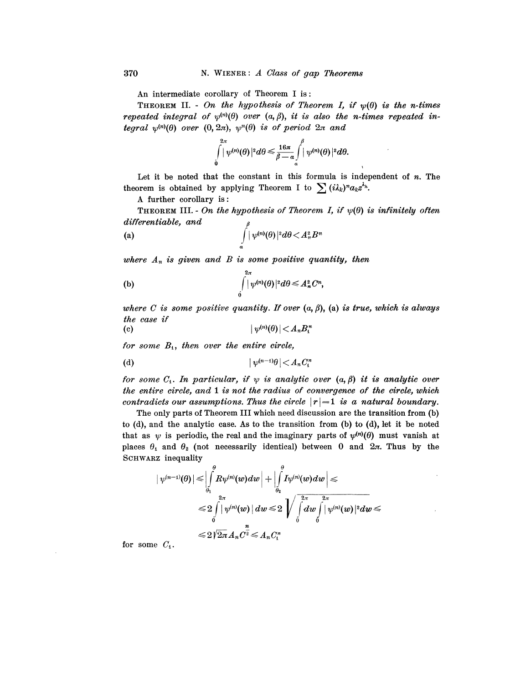An intermediate corollary of Theorem I is :

THEOREM II. - On the hypothesis of Theorem I, if  $\psi(\theta)$  is the n-times repeated integral of  $\psi^{(n)}(\theta)$  over  $(a, \beta)$ , it is also the n-times repeated integral  $\psi^{(n)}(\theta)$  over  $(0,2\pi)$ ,  $\psi^{n}(\theta)$  is of period  $2\pi$  and

$$
\int\limits_{0}^{2\pi}|\psi^{(n)}(\theta)|^{2}d\theta \leqslant \frac{16\pi}{\beta-\alpha}\int\limits_{a}^{\beta}|\psi^{(n)}(\theta)|^{2}d\theta.
$$

Let it be noted that the constant in this formula is independent of  $n$ . The theorem is obtained by applying Theorem I to  $\sum (i\lambda_k)^n a_k z^{\lambda_k}$ .

A further corollary is :

THEOREM III. - On the hypothesis of Theorem I, if  $\psi(\theta)$  is infinitely often differentiable, and

(a) 
$$
\int_{\alpha}^{\int} |\psi^{(n)}(\theta)|^2 d\theta \langle A_n^2 B^n \rangle
$$

where  $A_n$  is given and B is some positive quantity, then

(b) 
$$
\int\limits_{0}^{2\pi} |\psi^{(n)}(\theta)|^2 d\theta \leq A_n^2 C^n,
$$

where C is some positive quantity. If over  $(a, \beta)$ ,  $(a)$  is true, which is always the case if

(c) 
$$
|\psi^{(n)}(\theta)| < A_n B_1^n
$$

for some  $B_t$ , then over the entire circle,

(d) 
$$
|\psi^{(n-1)}\theta| < A_n C_1^n
$$

for some  $C_1$ . In particular, if  $\psi$  is analytic over  $(a, \beta)$  it is analytic over the entire circle, and 1 is not the radius of convergence of the circle, which contradicts our assumptions. Thus the circle  $|r| = 1$  is a natural boundary.

The only parts of Theorem III which need discussion are the transition from (b) to (d), and the analytic case. As to the transition from (b) to (d), let it be noted that as  $\psi$  is periodic, the real and the imaginary parts of  $\psi^{(n)}(\theta)$  must vanish at places  $\theta_1$  and  $\theta_2$  (not necessarily identical) between 0 and  $2\pi$ . Thus by the SCHWARZ inequality

$$
\begin{aligned} \left|\,\psi^{(n-1)}(\theta)\,\right|&\leqslant \Big|\int\limits_{\theta_1}^\theta\!R\psi^{(n)}(w)dw\,\Big|+\Big|\int\limits_{\theta_2}^\theta\!I\psi^{(n)}(w)dw\,\Big|\leqslant\\ &\leqslant 2\int\limits_0^{2\pi}\left|\,\psi^{(n)}(w)\,\right|dw\leqslant 2\,\sqrt{\int\limits_0^{2\pi}\,dw\int\limits_0^{2\pi}\,|\,\psi^{(n)}(w)\,|^2}dw\leqslant\\ &\leqslant 2\sqrt{2\pi}\,A_n C^{\frac{n}{2}}\leqslant A_n C_n^n\end{aligned}
$$

for some  $C_1$ .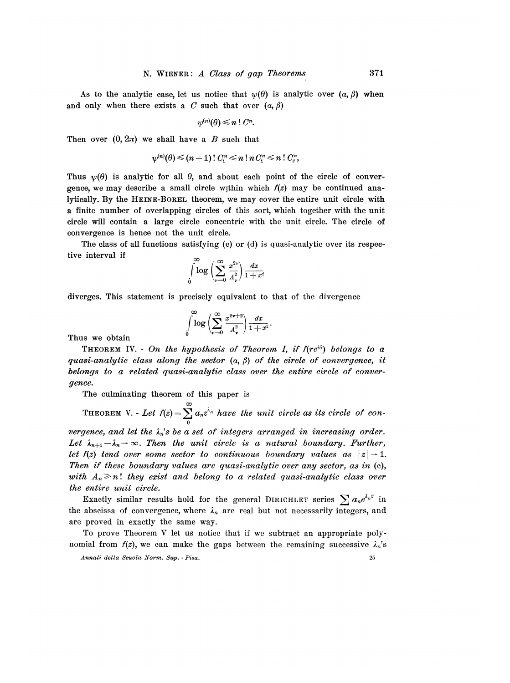As to the analytic case, let us notice that  $\psi(\theta)$  is analytic over  $(a, \beta)$  when and only when there exists a C such that over  $(a, \beta)$ 

$$
\psi^{(n)}(\theta) \leq n\;!\; C^n
$$

Then over  $(0, 2\pi)$  we shall have a B such that

$$
\psi^{(n)}(\theta) \leq (n+1) \, ! \, C_1^n \leq n \, ! \, n \, C_1^n \leq n \, ! \, C_2^n,
$$

Thus  $\psi(\theta)$  is analytic for all  $\theta$ , and about each point of the circle of convergence, we may describe a small circle within which  $f(z)$  may be continued analytically. By the HEINE-BOREL theorem, we may cover the entire unit circle with a finite number of overlapping circles of this sort, which together with the unit circle will contain a large circle concentric with the unit circle. The circle of convergence is hence not the unit circle.

The class of all functions satisfying (c) or  $(d)$  is quasi-analytic over its respective interval if

$$
\int\limits_0^\infty \log\left( \sum\limits_{\nu=0}^\infty\,\frac{x^{2\nu}}{A_\nu^2}\right) \frac{dx}{1+x^2}
$$

diverges. This statement is precisely equivalent to that of the divergence

$$
\int\limits_0^\infty \log\left( \sum\limits_{\nu=0}^\infty \frac{x^{2\nu+2}}{A_\nu^2}\right) \frac{dx}{1+x^2}.
$$

Thus we obtain

THEOREM IV. - On the hypothesis of Theorem I, if  $f(re^{i\theta})$  belongs to a quasi-analytic class along the sector  $(a, \beta)$  of the circle of convergence, it belongs to a related quasi-analytic class over the entire circle of convergence.

The culminating theorem of this paper is

THEOREM V. - Let  $f(z) = \sum_{n=0}^{\infty} a_n z^{\lambda_n}$  have the unit circle as its circle of con-

vergence, and let the  $\lambda_n$ 's be a set of integers arranged in increasing order. Let  $\lambda_{n+1}-\lambda_n\to\infty$ . Then the unit circle is a natural boundary. Further, let  $f(z)$  tend over some sector to continuous boundary values as  $|z| \rightarrow 1$ . Then if these boundary values are quasi-analytic over any sector, as in (c), with  $A_n \geq n!$  they exist and belong to a related quasi-analytic class over the entire unit circle.

Exactly similar results hold for the general DIRICHLET series  $\sum_{n} a_n e^{\lambda_n z}$  in the abscissa of convergence, where  $\lambda_n$  are real but not necessarily integers, and are proved in exactly the same way.

To prove Theorem V let us notice that if we subtract an appropriate polynomial from  $f(z)$ , we can make the gaps between the remaining successive  $\lambda_n$ 's

Annali della Scuola Norm. Sup. - Pisa. 25